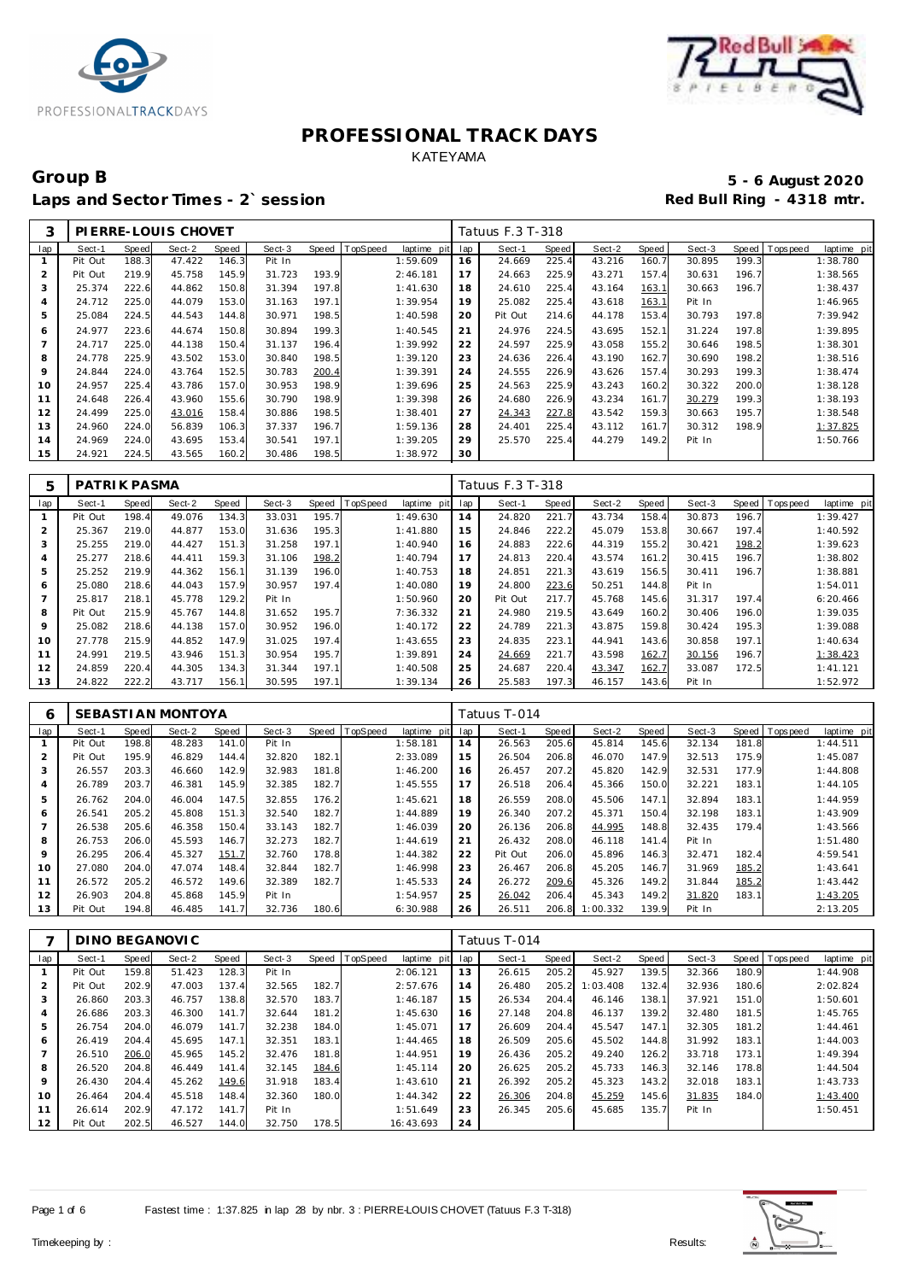



| 3              |         |       | PLERRE-LOUIS CHOVET |       |        |       |                 |             |     | Tatuus F.3 T-318 |       |        |       |        |       |                |             |
|----------------|---------|-------|---------------------|-------|--------|-------|-----------------|-------------|-----|------------------|-------|--------|-------|--------|-------|----------------|-------------|
| lap            | Sect-1  | Speed | Sect-2              | Speed | Sect-3 | Speed | <b>TopSpeed</b> | laptime pit | lap | Sect-1           | Speed | Sect-2 | Speed | Sect-3 |       | Speed Topspeed | laptime pit |
|                | Pit Out | 188.3 | 47.422              | 146.3 | Pit In |       |                 | 1:59.609    | 16  | 24.669           | 225.4 | 43.216 | 160.7 | 30.895 | 199.3 |                | 1:38.780    |
| $\overline{2}$ | Pit Out | 219.9 | 45.758              | 145.9 | 31.723 | 193.9 |                 | 2:46.181    | 17  | 24.663           | 225.9 | 43.271 | 157.4 | 30.631 | 196.7 |                | 1:38.565    |
| 3              | 25.374  | 222.6 | 44.862              | 150.8 | 31.394 | 197.8 |                 | 1:41.630    | 18  | 24.610           | 225.4 | 43.164 | 163.1 | 30.663 | 196.7 |                | 1:38.437    |
| $\overline{A}$ | 24.712  | 225.0 | 44.079              | 153.0 | 31.163 | 197.1 |                 | 1:39.954    | 19  | 25.082           | 225.4 | 43.618 | 163.1 | Pit In |       |                | 1:46.965    |
| 5              | 25.084  | 224.5 | 44.543              | 144.8 | 30.971 | 198.5 |                 | 1:40.598    | 20  | Pit Out          | 214.6 | 44.178 | 153.4 | 30.793 | 197.8 |                | 7:39.942    |
| 6              | 24.977  | 223.6 | 44.674              | 150.8 | 30.894 | 199.3 |                 | 1:40.545    | 21  | 24.976           | 224.5 | 43.695 | 152.1 | 31.224 | 197.8 |                | 1:39.895    |
| $\overline{7}$ | 24.717  | 225.0 | 44.138              | 150.4 | 31.137 | 196.4 |                 | 1:39.992    | 22  | 24.597           | 225.9 | 43.058 | 155.2 | 30.646 | 198.5 |                | 1:38.301    |
| 8              | 24.778  | 225.9 | 43.502              | 153.0 | 30.840 | 198.5 |                 | 1:39.120    | 23  | 24.636           | 226.4 | 43.190 | 162.7 | 30.690 | 198.2 |                | 1:38.516    |
| 9              | 24.844  | 224.0 | 43.764              | 152.5 | 30.783 | 200.4 |                 | 1:39.391    | 24  | 24.555           | 226.9 | 43.626 | 157.4 | 30.293 | 199.3 |                | 1:38.474    |
| 10             | 24.957  | 225.4 | 43.786              | 157.0 | 30.953 | 198.9 |                 | 1:39.696    | 25  | 24.563           | 225.9 | 43.243 | 160.2 | 30.322 | 200.0 |                | 1:38.128    |
| 11             | 24.648  | 226.4 | 43.960              | 155.6 | 30.790 | 198.9 |                 | 1:39.398    | 26  | 24.680           | 226.9 | 43.234 | 161.7 | 30.279 | 199.3 |                | 1:38.193    |
| 12             | 24.499  | 225.0 | 43.016              | 158.4 | 30.886 | 198.5 |                 | 1:38.401    | 27  | 24.343           | 227.8 | 43.542 | 159.3 | 30.663 | 195.7 |                | 1:38.548    |
| 13             | 24.960  | 224.0 | 56.839              | 106.3 | 37.337 | 196.7 |                 | 1:59.136    | 28  | 24.401           | 225.4 | 43.112 | 161.7 | 30.312 | 198.9 |                | 1:37.825    |
| 14             | 24.969  | 224.0 | 43.695              | 153.4 | 30.541 | 197.1 |                 | 1:39.205    | 29  | 25.570           | 225.4 | 44.279 | 149.2 | Pit In |       |                | 1:50.766    |
| 15             | 24.921  | 224.5 | 43.565              | 160.2 | 30.486 | 198.5 |                 | 1:38.972    | 30  |                  |       |        |       |        |       |                |             |

| 5              | PATRIK PASMA |              |        |       |        |       |          |             |     | Tatuus F.3 T-318 |       |        |       |        |       |           |             |
|----------------|--------------|--------------|--------|-------|--------|-------|----------|-------------|-----|------------------|-------|--------|-------|--------|-------|-----------|-------------|
| lap            | Sect-1       | <b>Speed</b> | Sect-2 | Speed | Sect-3 | Speed | TopSpeed | laptime pit | lap | Sect-1           | Speed | Sect-2 | Speed | Sect-3 | Speed | Tops peed | laptime pit |
|                | Pit Out      | 198.4        | 49.076 | 134.3 | 33.031 | 195.7 |          | 1:49.630    | 14  | 24.820           | 221.7 | 43.734 | 158.4 | 30.873 | 196.7 |           | 1:39.427    |
| $\overline{2}$ | 25.367       | 219.0        | 44.877 | 153.0 | 31.636 | 195.3 |          | 1:41.880    | 15  | 24.846           | 222.2 | 45.079 | 153.8 | 30.667 | 197.4 |           | 1:40.592    |
| 3              | 25.255       | 219.0        | 44.427 | 151.3 | 31.258 | 197.1 |          | 1:40.940    | 16  | 24.883           | 222.6 | 44.319 | 155.2 | 30.421 | 198.2 |           | 1:39.623    |
| 4              | 25.277       | 218.6        | 44.411 | 159.3 | 31.106 | 198.2 |          | 1:40.794    | 17  | 24.813           | 220.4 | 43.574 | 161.2 | 30.415 | 196.7 |           | 1:38.802    |
| 5              | 25.252       | 219.9        | 44.362 | 156.1 | 31.139 | 196.0 |          | 1:40.753    | 18  | 24.851           | 221.3 | 43.619 | 156.5 | 30.411 | 196.7 |           | 1:38.881    |
| 6              | 25.080       | 218.6        | 44.043 | 157.9 | 30.957 | 197.4 |          | 1:40.080    | 19  | 24.800           | 223.6 | 50.251 | 144.8 | Pit In |       |           | 1:54.011    |
|                | 25.817       | 218.1        | 45.778 | 129.2 | Pit In |       |          | 1:50.960    | 20  | Pit Out          | 217.7 | 45.768 | 145.6 | 31.317 | 197.4 |           | 6:20.466    |
| 8              | Pit Out      | 215.9        | 45.767 | 144.8 | 31.652 | 195.7 |          | 7:36.332    | 21  | 24.980           | 219.5 | 43.649 | 160.2 | 30.406 | 196.0 |           | 1:39.035    |
| 9              | 25.082       | 218.6        | 44.138 | 157.0 | 30.952 | 196.0 |          | 1:40.172    | 22  | 24.789           | 221.3 | 43.875 | 159.8 | 30.424 | 195.3 |           | 1:39.088    |
| 10             | 27.778       | 215.9        | 44.852 | 147.9 | 31.025 | 197.4 |          | 1:43.655    | 23  | 24.835           | 223.1 | 44.941 | 143.6 | 30.858 | 197.1 |           | 1:40.634    |
| 11             | 24.991       | 219.5        | 43.946 | 151.3 | 30.954 | 195.7 |          | 1:39.891    | 24  | 24.669           | 221.7 | 43.598 | 162.7 | 30.156 | 196.7 |           | 1:38.423    |
| 12             | 24.859       | 220.4        | 44.305 | 134.3 | 31.344 | 197.1 |          | 1:40.508    | 25  | 24.687           | 220.4 | 43.347 | 162.7 | 33.087 | 172.5 |           | 1: 41.121   |
| 13             | 24.822       | 222.2        | 43.717 | 156.1 | 30.595 | 197.1 |          | 1:39.134    | 26  | 25.583           | 197.3 | 46.157 | 143.6 | Pit In |       |           | 1:52.972    |

| 6              |         |              | SEBASTI AN MONTOYA |       |        |       |          |             |     | Tatuus T-014 |       |          |       |        |       |                |             |
|----------------|---------|--------------|--------------------|-------|--------|-------|----------|-------------|-----|--------------|-------|----------|-------|--------|-------|----------------|-------------|
| lap            | Sect-1  | <b>Speed</b> | Sect-2             | Speed | Sect-3 | Speed | TopSpeed | laptime pit | lap | Sect-1       | Speed | Sect-2   | Speed | Sect-3 |       | Speed Topspeed | laptime pit |
|                | Pit Out | 198.8        | 48.283             | 141.0 | Pit In |       |          | 1:58.181    | 14  | 26.563       | 205.6 | 45.814   | 145.6 | 32.134 | 181.8 |                | 1:44.511    |
| $\overline{2}$ | Pit Out | 195.9        | 46.829             | 144.4 | 32.820 | 182.1 |          | 2:33.089    | 15  | 26.504       | 206.8 | 46.070   | 147.9 | 32.513 | 175.9 |                | 1:45.087    |
| 3              | 26.557  | 203.3        | 46.660             | 142.9 | 32.983 | 181.8 |          | 1:46.200    | 16  | 26.457       | 207.2 | 45.820   | 142.9 | 32.531 | 177.9 |                | 1:44.808    |
| 4              | 26.789  | 203.7        | 46.381             | 145.9 | 32.385 | 182.7 |          | 1:45.555    | 17  | 26.518       | 206.4 | 45.366   | 150.0 | 32.221 | 183.1 |                | 1:44.105    |
| 5              | 26.762  | 204.0        | 46.004             | 147.5 | 32.855 | 176.2 |          | 1:45.621    | 18  | 26.559       | 208.0 | 45.506   | 147.1 | 32.894 | 183.1 |                | 1:44.959    |
| 6              | 26.541  | 205.2        | 45.808             | 151.3 | 32.540 | 182.7 |          | 1:44.889    | 19  | 26.340       | 207.2 | 45.371   | 150.4 | 32.198 | 183.1 |                | 1:43.909    |
|                | 26.538  | 205.6        | 46.358             | 150.4 | 33.143 | 182.7 |          | 1:46.039    | 20  | 26.136       | 206.8 | 44.995   | 148.8 | 32.435 | 179.4 |                | 1:43.566    |
| 8              | 26.753  | 206.0        | 45.593             | 146.7 | 32.273 | 182.7 |          | 1:44.619    | 21  | 26.432       | 208.0 | 46.118   | 141.4 | Pit In |       |                | 1:51.480    |
| $\circ$        | 26.295  | 206.4        | 45.327             | 151.7 | 32.760 | 178.8 |          | 1:44.382    | 22  | Pit Out      | 206.0 | 45.896   | 146.3 | 32.471 | 182.4 |                | 4:59.541    |
| 10             | 27.080  | 204.0        | 47.074             | 148.4 | 32.844 | 182.7 |          | 1:46.998    | 23  | 26.467       | 206.8 | 45.205   | 146.7 | 31.969 | 185.2 |                | 1:43.641    |
| 11             | 26.572  | 205.2        | 46.572             | 149.6 | 32.389 | 182.7 |          | 1:45.533    | 24  | 26.272       | 209.6 | 45.326   | 149.2 | 31.844 | 185.2 |                | 1:43.442    |
| 12             | 26.903  | 204.8        | 45.868             | 145.9 | Pit In |       |          | 1:54.957    | 25  | 26.042       | 206.4 | 45.343   | 149.2 | 31.820 | 183.1 |                | 1:43.205    |
| 13             | Pit Out | 194.8        | 46.485             | 141.7 | 32.736 | 180.6 |          | 6:30.988    | 26  | 26.511       | 206.8 | 1:00.332 | 139.9 | Pit In |       |                | 2:13.205    |

|                |         |       | DINO BEGANOVIC |       |        |       |                |             |     | Tatuus T-014 |       |          |       |        |       |             |             |
|----------------|---------|-------|----------------|-------|--------|-------|----------------|-------------|-----|--------------|-------|----------|-------|--------|-------|-------------|-------------|
| lap            | Sect-1  | Speed | Sect-2         | Speed | Sect-3 |       | Speed TopSpeed | laptime pit | lap | Sect-1       | Speed | Sect-2   | Speed | Sect-3 | Speed | T ops pee d | laptime pit |
|                | Pit Out | 159.8 | 51.423         | 128.3 | Pit In |       |                | 2:06.121    | 13  | 26.615       | 205.2 | 45.927   | 139.5 | 32.366 | 180.9 |             | 1:44.908    |
| $\overline{2}$ | Pit Out | 202.9 | 47.003         | 137.4 | 32.565 | 182.7 |                | 2:57.676    | 14  | 26.480       | 205.2 | 1:03.408 | 132.4 | 32.936 | 180.6 |             | 2:02.824    |
| 3              | 26.860  | 203.3 | 46.757         | 138.8 | 32.570 | 183.7 |                | 1:46.187    | 15  | 26.534       | 204.4 | 46.146   | 138.1 | 37.921 | 151.0 |             | 1:50.601    |
| $\overline{4}$ | 26.686  | 203.3 | 46.300         | 141.7 | 32.644 | 181.2 |                | 1:45.630    | 16  | 27.148       | 204.8 | 46.137   | 139.2 | 32.480 | 181.5 |             | 1:45.765    |
| 5              | 26.754  | 204.0 | 46.079         | 141.7 | 32.238 | 184.0 |                | 1:45.071    | 17  | 26.609       | 204.4 | 45.547   | 147.1 | 32.305 | 181.2 |             | 1: 44.461   |
| 6              | 26.419  | 204.4 | 45.695         | 147.1 | 32.351 | 183.1 |                | 1:44.465    | 18  | 26.509       | 205.6 | 45.502   | 144.8 | 31.992 | 183.1 |             | 1:44.003    |
|                | 26.510  | 206.0 | 45.965         | 145.2 | 32.476 | 181.8 |                | 1:44.951    | 19  | 26.436       | 205.2 | 49.240   | 126.2 | 33.718 | 173.1 |             | 1:49.394    |
| 8              | 26.520  | 204.8 | 46.449         | 141.4 | 32.145 | 184.6 |                | 1:45.114    | 20  | 26.625       | 205.2 | 45.733   | 146.3 | 32.146 | 178.8 |             | 1:44.504    |
| 9              | 26.430  | 204.4 | 45.262         | 149.6 | 31.918 | 183.4 |                | 1:43.610    | 21  | 26.392       | 205.2 | 45.323   | 143.2 | 32.018 | 183.1 |             | 1:43.733    |
| 10             | 26.464  | 204.4 | 45.518         | 148.4 | 32.360 | 180.0 |                | 1:44.342    | 22  | 26.306       | 204.8 | 45.259   | 145.6 | 31.835 | 184.0 |             | 1:43.400    |
| 11             | 26.614  | 202.9 | 47.172         | 141.7 | Pit In |       |                | 1:51.649    | 23  | 26.345       | 205.6 | 45.685   | 135.7 | Pit In |       |             | 1:50.451    |
| 12             | Pit Out | 202.5 | 46.527         | 144.0 | 32.750 | 178.5 |                | 16:43.693   | 24  |              |       |          |       |        |       |             |             |

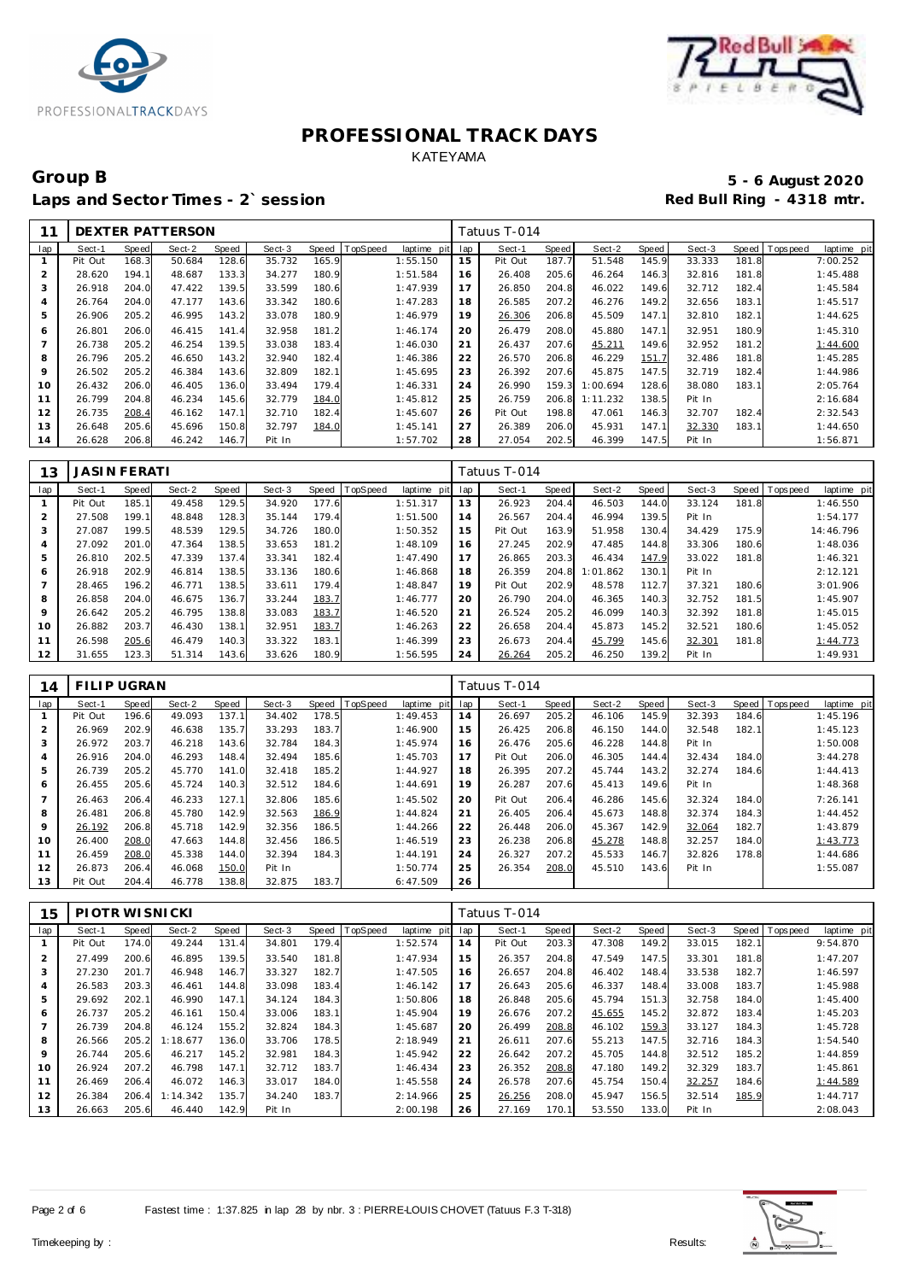



|     |         |       | DEXTER PATTERSON |       |        |       |          |             |     | Tatuus T-014 |       |          |       |        |       |                |             |
|-----|---------|-------|------------------|-------|--------|-------|----------|-------------|-----|--------------|-------|----------|-------|--------|-------|----------------|-------------|
| lap | Sect-1  | Speed | Sect-2           | Speed | Sect-3 | Speed | TopSpeed | laptime pit | lap | Sect-1       | Speed | Sect-2   | Speed | Sect-3 |       | Speed Topspeed | laptime pit |
|     | Pit Out | 168.3 | 50.684           | 128.6 | 35.732 | 165.9 |          | 1:55.150    | 15  | Pit Out      | 187.7 | 51.548   | 145.9 | 33.333 | 181.8 |                | 7:00.252    |
| 2   | 28.620  | 194.1 | 48.687           | 133.3 | 34.277 | 180.9 |          | 1:51.584    | 16  | 26.408       | 205.6 | 46.264   | 146.3 | 32.816 | 181.8 |                | 1:45.488    |
| 3   | 26.918  | 204.0 | 47.422           | 139.5 | 33.599 | 180.6 |          | 1:47.939    | 17  | 26.850       | 204.8 | 46.022   | 149.6 | 32.712 | 182.4 |                | 1:45.584    |
| 4   | 26.764  | 204.0 | 47.177           | 143.6 | 33.342 | 180.6 |          | 1:47.283    | 18  | 26.585       | 207.2 | 46.276   | 149.2 | 32.656 | 183.1 |                | 1:45.517    |
| 5   | 26.906  | 205.2 | 46.995           | 143.2 | 33.078 | 180.9 |          | 1:46.979    | 19  | 26.306       | 206.8 | 45.509   | 147.1 | 32.810 | 182.1 |                | 1:44.625    |
| 6   | 26.801  | 206.0 | 46.415           | 141.4 | 32.958 | 181.2 |          | 1:46.174    | 20  | 26.479       | 208.0 | 45.880   | 147.1 | 32.951 | 180.9 |                | 1:45.310    |
|     | 26.738  | 205.2 | 46.254           | 139.5 | 33.038 | 183.4 |          | 1:46.030    | 21  | 26.437       | 207.6 | 45.211   | 149.6 | 32.952 | 181.2 |                | 1:44.600    |
| 8   | 26.796  | 205.2 | 46.650           | 143.2 | 32.940 | 182.4 |          | 1:46.386    | 22  | 26.570       | 206.8 | 46.229   | 151.7 | 32.486 | 181.8 |                | 1:45.285    |
| 9   | 26.502  | 205.2 | 46.384           | 143.6 | 32.809 | 182.1 |          | 1:45.695    | 23  | 26.392       | 207.6 | 45.875   | 147.5 | 32.719 | 182.4 |                | 1:44.986    |
| 10  | 26.432  | 206.0 | 46.405           | 136.0 | 33.494 | 179.4 |          | 1:46.331    | 24  | 26.990       | 159.3 | 1:00.694 | 128.6 | 38.080 | 183.1 |                | 2:05.764    |
| 11  | 26.799  | 204.8 | 46.234           | 145.6 | 32.779 | 184.0 |          | 1:45.812    | 25  | 26.759       | 206.8 | 1:11.232 | 138.5 | Pit In |       |                | 2:16.684    |
| 12  | 26.735  | 208.4 | 46.162           | 147.1 | 32.710 | 182.4 |          | 1:45.607    | 26  | Pit Out      | 198.8 | 47.061   | 146.3 | 32.707 | 182.4 |                | 2:32.543    |
| 13  | 26.648  | 205.6 | 45.696           | 150.8 | 32.797 | 184.0 |          | 1:45.141    | 27  | 26.389       | 206.0 | 45.931   | 147.1 | 32.330 | 183.1 |                | 1:44.650    |
| 14  | 26.628  | 206.8 | 46.242           | 146.7 | Pit In |       |          | 1:57.702    | 28  | 27.054       | 202.5 | 46.399   | 147.5 | Pit In |       |                | 1:56.871    |

| 13      | JASI N FERATI |       |        |       |        |              |          |             |     | Fatuus T-014 |       |          |       |        |       |                               |
|---------|---------------|-------|--------|-------|--------|--------------|----------|-------------|-----|--------------|-------|----------|-------|--------|-------|-------------------------------|
| lap     | Sect-1        | Speed | Sect-2 | Speed | Sect-3 | <b>Speed</b> | TopSpeed | laptime pit | lap | Sect-1       | Speed | Sect-2   | Speed | Sect-3 |       | Speed Topspeed<br>laptime pit |
|         | Pit Out       | 185.1 | 49.458 | 129.5 | 34.920 | 177.6        |          | 1:51.317    | 13  | 26.923       | 204.4 | 46.503   | 144.0 | 33.124 | 181.8 | 1:46.550                      |
|         | 27.508        | 199.1 | 48.848 | 128.3 | 35.144 | 179.4        |          | 1:51.500    | 14  | 26.567       | 204.4 | 46.994   | 139.5 | Pit In |       | 1:54.177                      |
| 3       | 27.087        | 199.5 | 48.539 | 129.5 | 34.726 | 180.0        |          | 1:50.352    | 15  | Pit Out      | 163.9 | 51.958   | 130.4 | 34.429 | 175.9 | 14:46.796                     |
| 4       | 27.092        | 201.0 | 47.364 | 138.5 | 33.653 | 181.2        |          | 1:48.109    | 16  | 27.245       | 202.9 | 47.485   | 144.8 | 33.306 | 180.6 | 1:48.036                      |
| 5       | 26.810        | 202.5 | 47.339 | 137.4 | 33.341 | 182.4        |          | 1:47.490    | 17  | 26.865       | 203.3 | 46.434   | 147.9 | 33.022 | 181.8 | 1:46.321                      |
| 6       | 26.918        | 202.9 | 46.814 | 138.5 | 33.136 | 180.6        |          | 1:46.868    | 18  | 26.359       | 204.8 | 1:01.862 | 130.1 | Pit In |       | 2:12.121                      |
|         | 28.465        | 196.2 | 46.771 | 138.5 | 33.611 | 179.4        |          | 1:48.847    | 19  | Pit Out      | 202.9 | 48.578   | 112.7 | 37.321 | 180.6 | 3:01.906                      |
| 8       | 26.858        | 204.0 | 46.675 | 136.7 | 33.244 | 183.7        |          | 1:46.777    | 20  | 26.790       | 204.0 | 46.365   | 140.3 | 32.752 | 181.5 | 1:45.907                      |
| $\circ$ | 26.642        | 205.2 | 46.795 | 138.8 | 33.083 | 183.7        |          | 1:46.520    | 21  | 26.524       | 205.2 | 46.099   | 140.3 | 32.392 | 181.8 | 1:45.015                      |
| 10      | 26.882        | 203.7 | 46.430 | 138.1 | 32.951 | 183.7        |          | 1:46.263    | 22  | 26.658       | 204.4 | 45.873   | 145.2 | 32.521 | 180.6 | 1:45.052                      |
| 11      | 26.598        | 205.6 | 46.479 | 140.3 | 33.322 | 183.1        |          | 1:46.399    | 23  | 26.673       | 204.4 | 45.799   | 145.6 | 32.301 | 181.8 | 1:44.773                      |
| 12      | 31.655        | 123.3 | 51.314 | 143.6 | 33.626 | 180.9        |          | 1:56.595    | 24  | 26.264       | 205.2 | 46.250   | 139.2 | Pit In |       | 1:49.931                      |

| 14  | FILIP UGRAN |       |        |       |        |       |          |             |     | Tatuus T-014 |       |        |       |        |       |          |             |
|-----|-------------|-------|--------|-------|--------|-------|----------|-------------|-----|--------------|-------|--------|-------|--------|-------|----------|-------------|
| lap | Sect-1      | Speed | Sect-2 | Speed | Sect-3 | Speed | TopSpeed | laptime pit | lap | Sect-1       | Speed | Sect-2 | Speed | Sect-3 | Speed | Topspeed | laptime pit |
|     | Pit Out     | 196.6 | 49.093 | 137.1 | 34.402 | 178.5 |          | 1:49.453    | 14  | 26.697       | 205.2 | 46.106 | 145.9 | 32.393 | 184.6 |          | 1:45.196    |
|     | 26.969      | 202.9 | 46.638 | 135.7 | 33.293 | 183.7 |          | 1:46.900    | 15  | 26.425       | 206.8 | 46.150 | 144.0 | 32.548 | 182.1 |          | 1:45.123    |
| 3   | 26.972      | 203.7 | 46.218 | 143.6 | 32.784 | 184.3 |          | 1:45.974    | 16  | 26.476       | 205.6 | 46.228 | 144.8 | Pit In |       |          | 1:50.008    |
| 4   | 26.916      | 204.0 | 46.293 | 148.4 | 32.494 | 185.6 |          | 1:45.703    | 17  | Pit Out      | 206.0 | 46.305 | 144.4 | 32.434 | 184.0 |          | 3:44.278    |
| 5   | 26.739      | 205.2 | 45.770 | 141.0 | 32.418 | 185.2 |          | 1:44.927    | 18  | 26.395       | 207.2 | 45.744 | 143.2 | 32.274 | 184.6 |          | 1:44.413    |
| 6   | 26.455      | 205.6 | 45.724 | 140.3 | 32.512 | 184.6 |          | 1:44.691    | 19  | 26.287       | 207.6 | 45.413 | 149.6 | Pit In |       |          | 1:48.368    |
|     | 26.463      | 206.4 | 46.233 | 127.1 | 32.806 | 185.6 |          | 1:45.502    | 20  | Pit Out      | 206.4 | 46.286 | 145.6 | 32.324 | 184.0 |          | 7:26.141    |
| 8   | 26.481      | 206.8 | 45.780 | 142.9 | 32.563 | 186.9 |          | 1:44.824    | 21  | 26.405       | 206.4 | 45.673 | 148.8 | 32.374 | 184.3 |          | 1:44.452    |
| 9   | 26.192      | 206.8 | 45.718 | 142.9 | 32.356 | 186.5 |          | 1:44.266    | 22  | 26.448       | 206.0 | 45.367 | 142.9 | 32.064 | 182.7 |          | 1:43.879    |
| 10  | 26.400      | 208.0 | 47.663 | 144.8 | 32.456 | 186.5 |          | 1:46.519    | 23  | 26.238       | 206.8 | 45.278 | 148.8 | 32.257 | 184.0 |          | 1:43.773    |
| 11  | 26.459      | 208.0 | 45.338 | 144.0 | 32.394 | 184.3 |          | 1:44.191    | 24  | 26.327       | 207.2 | 45.533 | 146.7 | 32.826 | 178.8 |          | 1:44.686    |
| 12  | 26.873      | 206.4 | 46.068 | 150.0 | Pit In |       |          | 1:50.774    | 25  | 26.354       | 208.0 | 45.510 | 143.6 | Pit In |       |          | 1:55.087    |
| 13  | Pit Out     | 204.4 | 46.778 | 138.8 | 32.875 | 183.7 |          | 6:47.509    | 26  |              |       |        |       |        |       |          |             |

| 15             | PLOTR WISNICKI |              |          |       |        |       |          |             |     | Tatuus T-014 |       |        |       |        |       |          |             |
|----------------|----------------|--------------|----------|-------|--------|-------|----------|-------------|-----|--------------|-------|--------|-------|--------|-------|----------|-------------|
| lap            | Sect-1         | <b>Speed</b> | Sect-2   | Speed | Sect-3 | Speed | TopSpeed | laptime pit | lap | Sect-1       | Speed | Sect-2 | Speed | Sect-3 | Speed | Topspeed | laptime pit |
|                | Pit Out        | 174.0        | 49.244   | 131.4 | 34.801 | 179.4 |          | 1:52.574    | 14  | Pit Out      | 203.3 | 47.308 | 149.2 | 33.015 | 182.1 |          | 9:54.870    |
| $\overline{2}$ | 27.499         | 200.6        | 46.895   | 139.5 | 33.540 | 181.8 |          | 1:47.934    | 15  | 26.357       | 204.8 | 47.549 | 147.5 | 33.301 | 181.8 |          | 1:47.207    |
| 3              | 27.230         | 201.7        | 46.948   | 146.7 | 33.327 | 182.7 |          | 1:47.505    | 16  | 26.657       | 204.8 | 46.402 | 148.4 | 33.538 | 182.7 |          | 1:46.597    |
| 4              | 26.583         | 203.3        | 46.461   | 144.8 | 33.098 | 183.4 |          | 1:46.142    | 17  | 26.643       | 205.6 | 46.337 | 148.4 | 33.008 | 183.7 |          | 1:45.988    |
| 5              | 29.692         | 202.1        | 46.990   | 147.1 | 34.124 | 184.3 |          | 1:50.806    | 18  | 26.848       | 205.6 | 45.794 | 151.3 | 32.758 | 184.0 |          | 1:45.400    |
| 6              | 26.737         | 205.2        | 46.161   | 150.4 | 33.006 | 183.1 |          | 1:45.904    | 19  | 26.676       | 207.2 | 45.655 | 145.2 | 32.872 | 183.4 |          | 1:45.203    |
|                | 26.739         | 204.8        | 46.124   | 155.2 | 32.824 | 184.3 |          | 1:45.687    | 20  | 26.499       | 208.8 | 46.102 | 159.3 | 33.127 | 184.3 |          | 1:45.728    |
| 8              | 26.566         | 205.2        | 1:18.677 | 136.0 | 33.706 | 178.5 |          | 2:18.949    | 21  | 26.611       | 207.6 | 55.213 | 147.5 | 32.716 | 184.3 |          | 1:54.540    |
| 9              | 26.744         | 205.6        | 46.217   | 145.2 | 32.981 | 184.3 |          | 1:45.942    | 22  | 26.642       | 207.2 | 45.705 | 144.8 | 32.512 | 185.2 |          | 1:44.859    |
| 10             | 26.924         | 207.2        | 46.798   | 147.1 | 32.712 | 183.7 |          | 1:46.434    | 23  | 26.352       | 208.8 | 47.180 | 149.2 | 32.329 | 183.7 |          | 1:45.861    |
| 11             | 26.469         | 206.4        | 46.072   | 146.3 | 33.017 | 184.0 |          | 1:45.558    | 24  | 26.578       | 207.6 | 45.754 | 150.4 | 32.257 | 184.6 |          | 1:44.589    |
| 12             | 26.384         | 206.4        | 1:14.342 | 135.7 | 34.240 | 183.7 |          | 2:14.966    | 25  | 26.256       | 208.0 | 45.947 | 156.5 | 32.514 | 185.9 |          | 1:44.717    |
| 13             | 26.663         | 205.6        | 46.440   | 142.9 | Pit In |       |          | 2:00.198    | 26  | 27.169       | 170.1 | 53.550 | 133.0 | Pit In |       |          | 2:08.043    |



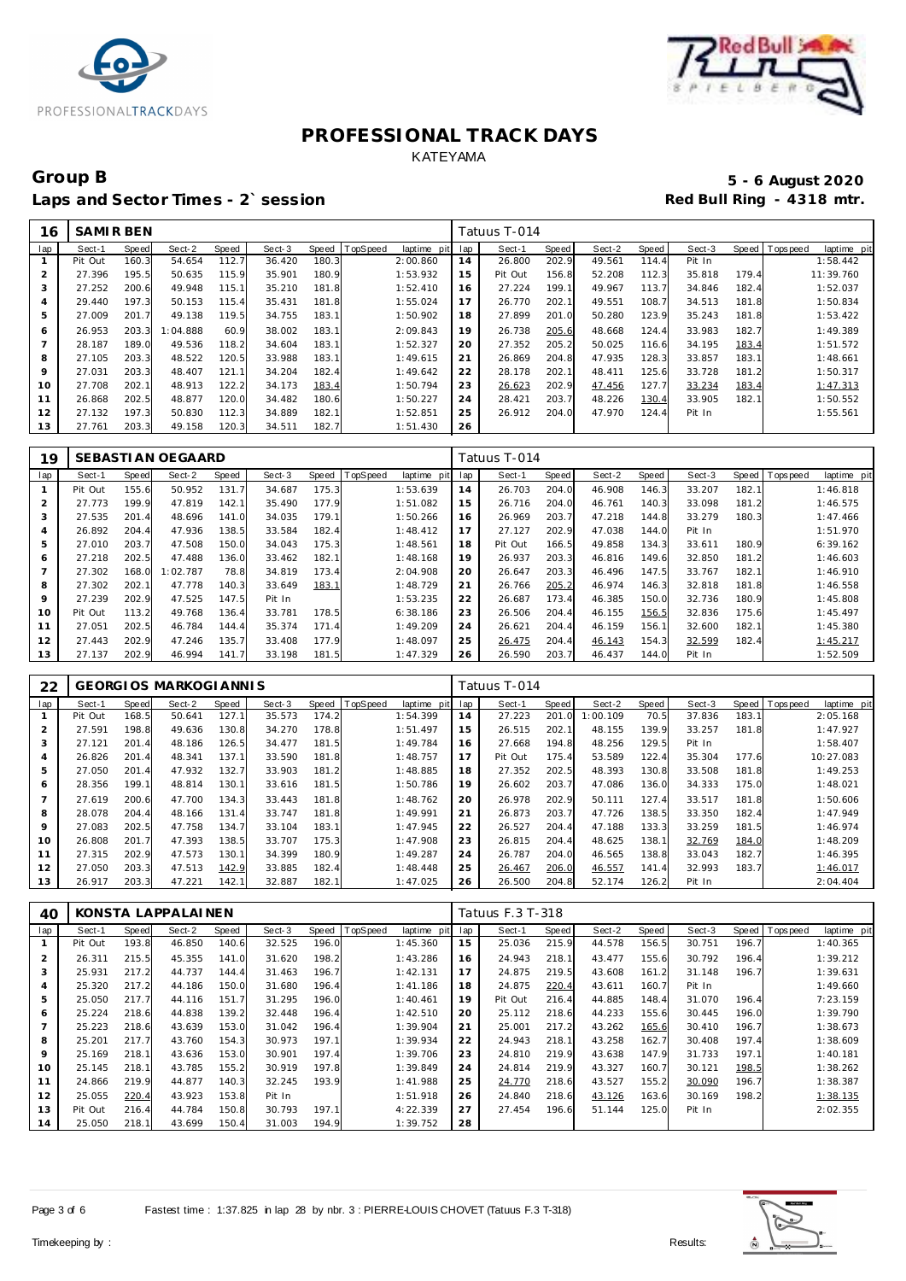



| 16             | SAMIR BEN |       |          |       |        |       |          |             |     | Tatuus T-014 |       |        |       |        |       |            |             |
|----------------|-----------|-------|----------|-------|--------|-------|----------|-------------|-----|--------------|-------|--------|-------|--------|-------|------------|-------------|
| lap            | Sect-1    | Speed | Sect-2   | Speed | Sect-3 | Speed | TopSpeed | laptime pit | lap | Sect-1       | Speed | Sect-2 | Speed | Sect-3 | Speed | T ops peed | laptime pit |
|                | Pit Out   | 160.3 | 54.654   | 112.7 | 36.420 | 180.3 |          | 2:00.860    | 14  | 26.800       | 202.9 | 49.561 | 114.4 | Pit In |       |            | 1:58.442    |
| $\overline{2}$ | 27.396    | 195.5 | 50.635   | 115.9 | 35.901 | 180.9 |          | 1:53.932    | 15  | Pit Out      | 156.8 | 52.208 | 112.3 | 35.818 | 179.4 |            | 11:39.760   |
| 3              | 27.252    | 200.6 | 49.948   | 115.1 | 35.210 | 181.8 |          | 1:52.410    | 16  | 27.224       | 199.1 | 49.967 | 113.7 | 34.846 | 182.4 |            | 1:52.037    |
| 4              | 29.440    | 197.3 | 50.153   | 115.4 | 35.431 | 181.8 |          | 1:55.024    | 17  | 26.770       | 202.1 | 49.551 | 108.7 | 34.513 | 181.8 |            | 1:50.834    |
| 5              | 27.009    | 201.7 | 49.138   | 119.5 | 34.755 | 183.7 |          | 1:50.902    | 18  | 27.899       | 201.0 | 50.280 | 123.9 | 35.243 | 181.8 |            | 1:53.422    |
| 6              | 26.953    | 203.3 | 1:04.888 | 60.9  | 38.002 | 183.1 |          | 2:09.843    | 19  | 26.738       | 205.6 | 48.668 | 124.4 | 33.983 | 182.7 |            | 1:49.389    |
| $\overline{7}$ | 28.187    | 189.0 | 49.536   | 118.2 | 34.604 | 183.1 |          | 1:52.327    | 20  | 27.352       | 205.2 | 50.025 | 116.6 | 34.195 | 183.4 |            | 1:51.572    |
| 8              | 27.105    | 203.3 | 48.522   | 120.5 | 33.988 | 183.1 |          | 1:49.615    | 21  | 26.869       | 204.8 | 47.935 | 128.3 | 33.857 | 183.1 |            | 1:48.661    |
| 9              | 27.031    | 203.3 | 48.407   | 121.1 | 34.204 | 182.4 |          | 1:49.642    | 22  | 28.178       | 202.1 | 48.411 | 125.6 | 33.728 | 181.2 |            | 1:50.317    |
| 10             | 27.708    | 202.  | 48.913   | 122.2 | 34.173 | 183.4 |          | 1:50.794    | 23  | 26.623       | 202.9 | 47.456 | 127.7 | 33.234 | 183.4 |            | 1:47.313    |
| 11             | 26.868    | 202.5 | 48.877   | 120.0 | 34.482 | 180.6 |          | 1:50.227    | 24  | 28.421       | 203.7 | 48.226 | 130.4 | 33.905 | 182.1 |            | 1:50.552    |
| 12             | 27.132    | 197.3 | 50.830   | 112.3 | 34.889 | 182.1 |          | 1:52.851    | 25  | 26.912       | 204.0 | 47.970 | 124.4 | Pit In |       |            | 1:55.561    |
| 13             | 27.761    | 203.3 | 49.158   | 120.3 | 34.511 | 182.7 |          | 1:51.430    | 26  |              |       |        |       |        |       |            |             |

| 19  |         |       | SEBASTI AN OEGAARD |       |        |       |          |             |     | Tatuus T-014 |       |        |       |        |       |                 |             |
|-----|---------|-------|--------------------|-------|--------|-------|----------|-------------|-----|--------------|-------|--------|-------|--------|-------|-----------------|-------------|
| lap | Sect-1  | Speed | Sect-2             | Speed | Sect-3 | Speed | TopSpeed | laptime pit | lap | Sect-1       | Speed | Sect-2 | Speed | Sect-3 |       | Speed Tops peed | laptime pit |
|     | Pit Out | 155.6 | 50.952             | 131.7 | 34.687 | 175.3 |          | 1:53.639    | 14  | 26.703       | 204.0 | 46.908 | 146.3 | 33.207 | 182.1 |                 | 1:46.818    |
| 2   | 27.773  | 199.9 | 47.819             | 142.1 | 35.490 | 177.9 |          | 1:51.082    | 15  | 26.716       | 204.0 | 46.761 | 140.3 | 33.098 | 181.2 |                 | 1:46.575    |
| 3   | 27.535  | 201.4 | 48.696             | 141.0 | 34.035 | 179.1 |          | 1:50.266    | 16  | 26.969       | 203.7 | 47.218 | 144.8 | 33.279 | 180.3 |                 | 1:47.466    |
| 4   | 26.892  | 204.4 | 47.936             | 138.5 | 33.584 | 182.4 |          | 1:48.412    | 17  | 27.127       | 202.9 | 47.038 | 144.0 | Pit In |       |                 | 1:51.970    |
| 5   | 27.010  | 203.7 | 47.508             | 150.0 | 34.043 | 175.3 |          | 1:48.561    | 18  | Pit Out      | 166.5 | 49.858 | 134.3 | 33.611 | 180.9 |                 | 6:39.162    |
| 6   | 27.218  | 202.5 | 47.488             | 136.0 | 33.462 | 182.1 |          | 1:48.168    | 19  | 26.937       | 203.3 | 46.816 | 149.6 | 32.850 | 181.2 |                 | 1:46.603    |
|     | 27.302  | 168.0 | 1:02.787           | 78.8  | 34.819 | 173.4 |          | 2:04.908    | 20  | 26.647       | 203.3 | 46.496 | 147.5 | 33.767 | 182.1 |                 | 1:46.910    |
| 8   | 27.302  | 202.1 | 47.778             | 140.3 | 33.649 | 183.1 |          | 1:48.729    | 21  | 26.766       | 205.2 | 46.974 | 146.3 | 32.818 | 181.8 |                 | 1:46.558    |
| 9   | 27.239  | 202.9 | 47.525             | 147.5 | Pit In |       |          | 1:53.235    | 22  | 26.687       | 173.4 | 46.385 | 150.0 | 32.736 | 180.9 |                 | 1:45.808    |
| 10  | Pit Out | 113.2 | 49.768             | 136.4 | 33.781 | 178.5 |          | 6:38.186    | 23  | 26.506       | 204.4 | 46.155 | 156.5 | 32.836 | 175.6 |                 | 1:45.497    |
| 11  | 27.051  | 202.5 | 46.784             | 144.4 | 35.374 | 171.4 |          | 1:49.209    | 24  | 26.621       | 204.4 | 46.159 | 156.1 | 32.600 | 182.1 |                 | 1:45.380    |
| 12  | 27.443  | 202.9 | 47.246             | 135.7 | 33.408 | 177.9 |          | 1:48.097    | 25  | 26.475       | 204.4 | 46.143 | 154.3 | 32.599 | 182.4 |                 | 1:45.217    |
| 13  | 27.137  | 202.9 | 46.994             | 141.7 | 33.198 | 181.5 |          | 1:47.329    | 26  | 26.590       | 203.7 | 46.437 | 144.0 | Pit In |       |                 | 1:52.509    |

| 22  |         |       | <b>GEORGIOS MARKOGIANNIS</b> |       |        |       |          |             |     | Tatuus T-014 |       |          |       |        |       |                            |
|-----|---------|-------|------------------------------|-------|--------|-------|----------|-------------|-----|--------------|-------|----------|-------|--------|-------|----------------------------|
| lap | Sect-1  | Speed | Sect-2                       | Speed | Sect-3 | Speed | TopSpeed | laptime pit | lap | Sect-1       | Speed | Sect-2   | Speed | Sect-3 | Speed | T ops pee d<br>laptime pit |
|     | Pit Out | 168.5 | 50.641                       | 127.1 | 35.573 | 174.2 |          | 1:54.399    | 14  | 27.223       | 201.0 | 1:00.109 | 70.5  | 37.836 | 183.1 | 2:05.168                   |
|     | 27.591  | 198.8 | 49.636                       | 130.8 | 34.270 | 178.8 |          | 1:51.497    | 15  | 26.515       | 202.1 | 48.155   | 139.9 | 33.257 | 181.8 | 1:47.927                   |
| .5  | 27.121  | 201.4 | 48.186                       | 126.5 | 34.477 | 181.5 |          | 1:49.784    | 16  | 27.668       | 194.8 | 48.256   | 129.5 | Pit In |       | 1:58.407                   |
|     | 26.826  | 201.4 | 48.341                       | 137.1 | 33.590 | 181.8 |          | 1:48.757    | 17  | Pit Out      | 175.4 | 53.589   | 122.4 | 35.304 | 177.6 | 10:27.083                  |
| 5   | 27.050  | 201.4 | 47.932                       | 132.7 | 33.903 | 181.2 |          | 1:48.885    | 18  | 27.352       | 202.5 | 48.393   | 130.8 | 33.508 | 181.8 | 1:49.253                   |
| 6   | 28.356  | 199.1 | 48.814                       | 130.1 | 33.616 | 181.5 |          | 1:50.786    | 19  | 26.602       | 203.7 | 47.086   | 136.0 | 34.333 | 175.0 | 1:48.021                   |
|     | 27.619  | 200.6 | 47.700                       | 134.3 | 33.443 | 181.8 |          | 1:48.762    | 20  | 26.978       | 202.9 | 50.111   | 127.4 | 33.517 | 181.8 | 1:50.606                   |
| 8   | 28.078  | 204.4 | 48.166                       | 131.4 | 33.747 | 181.8 |          | 1:49.991    | 21  | 26.873       | 203.7 | 47.726   | 138.5 | 33.350 | 182.4 | 1:47.949                   |
| 9   | 27.083  | 202.5 | 47.758                       | 134.7 | 33.104 | 183.1 |          | 1:47.945    | 22  | 26.527       | 204.4 | 47.188   | 133.3 | 33.259 | 181.5 | 1:46.974                   |
| 10  | 26.808  | 201.7 | 47.393                       | 138.5 | 33.707 | 175.3 |          | 1:47.908    | 23  | 26.815       | 204.4 | 48.625   | 138.1 | 32.769 | 184.0 | 1:48.209                   |
| 11  | 27.315  | 202.9 | 47.573                       | 130.1 | 34.399 | 180.9 |          | 1:49.287    | 24  | 26.787       | 204.0 | 46.565   | 138.8 | 33.043 | 182.7 | 1:46.395                   |
| 12  | 27.050  | 203.3 | 47.513                       | 142.9 | 33.885 | 182.4 |          | 1:48.448    | 25  | 26.467       | 206.0 | 46.557   | 141.4 | 32.993 | 183.7 | 1:46.017                   |
| 13  | 26.917  | 203.3 | 47.221                       | 142.1 | 32.887 | 182.1 |          | 1:47.025    | 26  | 26.500       | 204.8 | 52.174   | 126.2 | Pit In |       | 2:04.404                   |

| 40  |         |       | KONSTA LAPPALAINEN |       |        |       |          |             |     | Tatuus F.3 T-318 |       |        |       |        |       |                |             |
|-----|---------|-------|--------------------|-------|--------|-------|----------|-------------|-----|------------------|-------|--------|-------|--------|-------|----------------|-------------|
| lap | Sect-1  | Speed | Sect-2             | Speed | Sect-3 | Speed | TopSpeed | laptime pit | lap | Sect-1           | Speed | Sect-2 | Speed | Sect-3 |       | Speed Topspeed | laptime pit |
|     | Pit Out | 193.8 | 46.850             | 140.6 | 32.525 | 196.0 |          | 1:45.360    | 15  | 25.036           | 215.9 | 44.578 | 156.5 | 30.751 | 196.7 |                | 1:40.365    |
| 2   | 26.311  | 215.5 | 45.355             | 141.0 | 31.620 | 198.2 |          | 1:43.286    | 16  | 24.943           | 218.1 | 43.477 | 155.6 | 30.792 | 196.4 |                | 1:39.212    |
| 3   | 25.931  | 217.2 | 44.737             | 144.4 | 31.463 | 196.7 |          | 1:42.131    | 17  | 24.875           | 219.5 | 43.608 | 161.2 | 31.148 | 196.7 |                | 1:39.631    |
| 4   | 25.320  | 217.2 | 44.186             | 150.0 | 31.680 | 196.4 |          | 1:41.186    | 18  | 24.875           | 220.4 | 43.611 | 160.7 | Pit In |       |                | 1:49.660    |
| 5   | 25.050  | 217.7 | 44.116             | 151.7 | 31.295 | 196.0 |          | 1:40.461    | 19  | Pit Out          | 216.4 | 44.885 | 148.4 | 31.070 | 196.4 |                | 7:23.159    |
| 6   | 25.224  | 218.6 | 44.838             | 139.2 | 32.448 | 196.4 |          | 1:42.510    | 20  | 25.112           | 218.6 | 44.233 | 155.6 | 30.445 | 196.0 |                | 1:39.790    |
|     | 25.223  | 218.6 | 43.639             | 153.0 | 31.042 | 196.4 |          | 1:39.904    | 21  | 25.001           | 217.2 | 43.262 | 165.6 | 30.410 | 196.7 |                | 1:38.673    |
| 8   | 25.201  | 217.7 | 43.760             | 154.3 | 30.973 | 197.1 |          | 1:39.934    | 22  | 24.943           | 218.1 | 43.258 | 162.7 | 30.408 | 197.4 |                | 1:38.609    |
| 9   | 25.169  | 218.1 | 43.636             | 153.0 | 30.901 | 197.4 |          | 1:39.706    | 23  | 24.810           | 219.9 | 43.638 | 147.9 | 31.733 | 197.1 |                | 1:40.181    |
| 10  | 25.145  | 218.1 | 43.785             | 155.2 | 30.919 | 197.8 |          | 1:39.849    | 24  | 24.814           | 219.9 | 43.327 | 160.7 | 30.121 | 198.5 |                | 1:38.262    |
| 11  | 24.866  | 219.9 | 44.877             | 140.3 | 32.245 | 193.9 |          | 1:41.988    | 25  | 24.770           | 218.6 | 43.527 | 155.2 | 30.090 | 196.7 |                | 1:38.387    |
| 12  | 25.055  | 220.4 | 43.923             | 153.8 | Pit In |       |          | 1:51.918    | 26  | 24.840           | 218.6 | 43.126 | 163.6 | 30.169 | 198.2 |                | 1:38.135    |
| 13  | Pit Out | 216.4 | 44.784             | 150.8 | 30.793 | 197.1 |          | 4:22.339    | 27  | 27.454           | 196.6 | 51.144 | 125.0 | Pit In |       |                | 2:02.355    |
| 14  | 25.050  | 218.1 | 43.699             | 150.4 | 31.003 | 194.9 |          | 1:39.752    | 28  |                  |       |        |       |        |       |                |             |

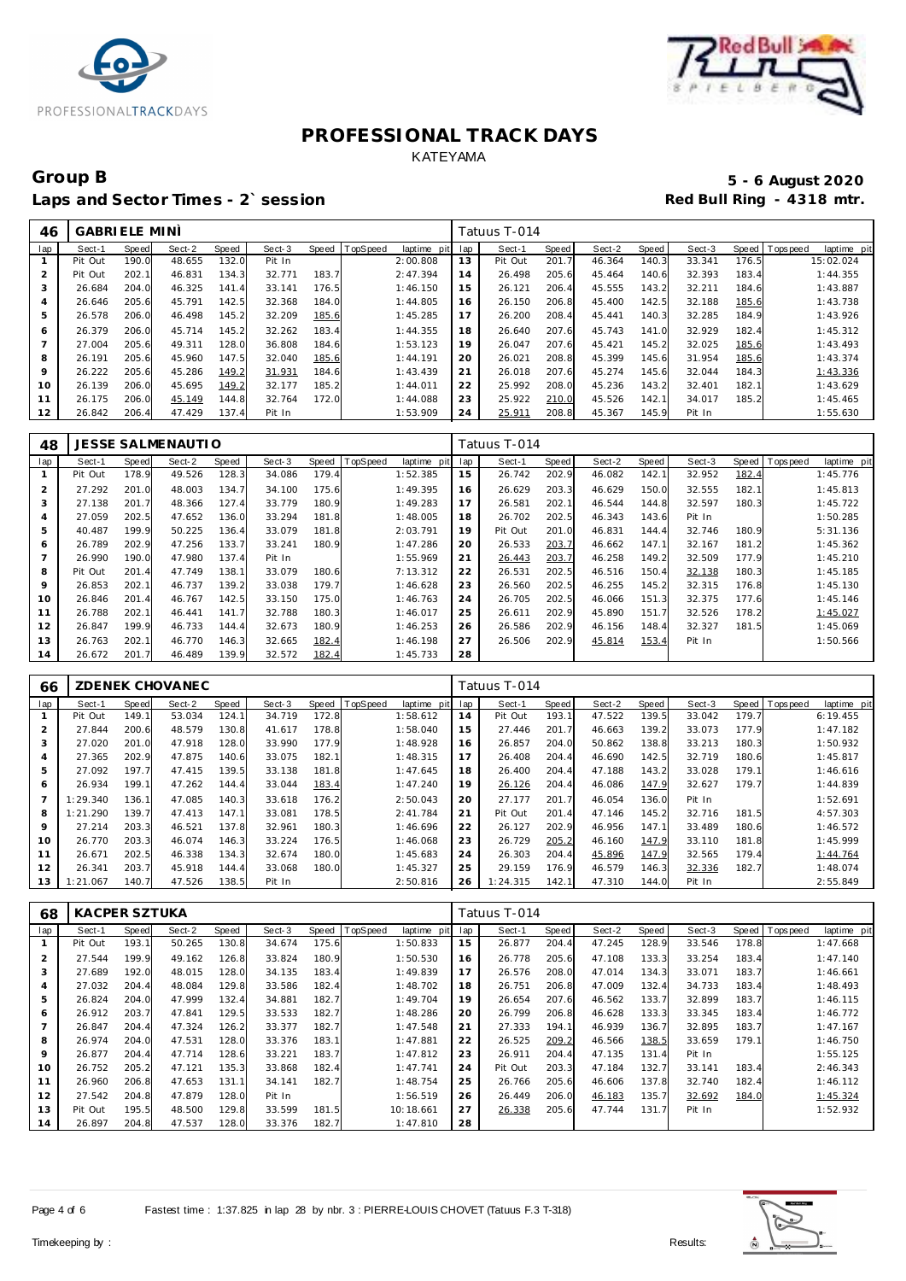



| 46             | <b>GABRIELE MINI</b> |       |        |       |        |       |          |                |     | Tatuus T-014 |       |        |       |        |       |                 |             |
|----------------|----------------------|-------|--------|-------|--------|-------|----------|----------------|-----|--------------|-------|--------|-------|--------|-------|-----------------|-------------|
| lap            | Sect-1               | Speed | Sect-2 | Speed | Sect-3 | Speed | TopSpeed | laptime<br>pit | lap | Sect-1       | Speed | Sect-2 | Speed | Sect-3 |       | Speed Tops peed | laptime pit |
|                | Pit Out              | 190.0 | 48.655 | 132.0 | Pit In |       |          | 2:00.808       | 13  | Pit Out      | 201.7 | 46.364 | 140.3 | 33.341 | 176.5 |                 | 15:02.024   |
| $\overline{2}$ | Pit Out              | 202.1 | 46.831 | 134.3 | 32.771 | 183.7 |          | 2:47.394       | 14  | 26.498       | 205.6 | 45.464 | 140.6 | 32.393 | 183.4 |                 | 1:44.355    |
| 3              | 26.684               | 204.0 | 46.325 | 141.4 | 33.141 | 176.5 |          | 1:46.150       | 15  | 26.121       | 206.4 | 45.555 | 143.2 | 32.211 | 184.6 |                 | 1:43.887    |
| $\overline{4}$ | 26.646               | 205.6 | 45.791 | 142.5 | 32.368 | 184.0 |          | 1:44.805       | 16  | 26.150       | 206.8 | 45.400 | 142.5 | 32.188 | 185.6 |                 | 1:43.738    |
| 5              | 26.578               | 206.0 | 46.498 | 145.2 | 32.209 | 185.6 |          | 1:45.285       | 17  | 26.200       | 208.4 | 45.441 | 140.3 | 32.285 | 184.9 |                 | 1:43.926    |
| 6              | 26.379               | 206.0 | 45.714 | 145.2 | 32.262 | 183.4 |          | 1:44.355       | 18  | 26.640       | 207.6 | 45.743 | 141.0 | 32.929 | 182.4 |                 | 1:45.312    |
|                | 27.004               | 205.6 | 49.311 | 128.0 | 36.808 | 184.6 |          | 1:53.123       | 19  | 26.047       | 207.6 | 45.421 | 145.2 | 32.025 | 185.6 |                 | 1:43.493    |
| 8              | 26.191               | 205.6 | 45.960 | 147.5 | 32.040 | 185.6 |          | 1:44.191       | 20  | 26.021       | 208.8 | 45.399 | 145.6 | 31.954 | 185.6 |                 | 1:43.374    |
| 9              | 26.222               | 205.6 | 45.286 | 149.2 | 31.931 | 184.6 |          | 1:43.439       | 21  | 26.018       | 207.6 | 45.274 | 145.6 | 32.044 | 184.3 |                 | 1:43.336    |
| 10             | 26.139               | 206.0 | 45.695 | 149.2 | 32.177 | 185.2 |          | 1:44.011       | 22  | 25.992       | 208.0 | 45.236 | 143.2 | 32.401 | 182.1 |                 | 1:43.629    |
| 11             | 26.175               | 206.0 | 45.149 | 144.8 | 32.764 | 172.0 |          | 1:44.088       | 23  | 25.922       | 210.0 | 45.526 | 142.1 | 34.017 | 185.2 |                 | 1:45.465    |
| 12             | 26.842               | 206.4 | 47.429 | 137.4 | Pit In |       |          | 1:53.909       | 24  | 25.911       | 208.8 | 45.367 | 145.9 | Pit In |       |                 | 1:55.630    |

| 48             |         |       | JESSE SALMENAUTIO |       |        |            |          |                |     | Tatuus T-014 |              |        |       |        |       |          |             |
|----------------|---------|-------|-------------------|-------|--------|------------|----------|----------------|-----|--------------|--------------|--------|-------|--------|-------|----------|-------------|
| lap            | Sect-1  | Speed | Sect-2            | Speed | Sect-3 | Speed      | TopSpeed | laptime<br>pit | lap | Sect-1       | <b>Speed</b> | Sect-2 | Speed | Sect-3 | Speed | Topspeed | laptime pit |
|                | Pit Out | 178.9 | 49.526            | 128.3 | 34.086 | 179.4      |          | 1:52.385       | 15  | 26.742       | 202.9        | 46.082 | 142.1 | 32.952 | 182.4 |          | 1:45.776    |
| 2              | 27.292  | 201.0 | 48.003            | 134.7 | 34.100 | 175.6      |          | 1:49.395       | 16  | 26.629       | 203.3        | 46.629 | 150.0 | 32.555 | 182.1 |          | 1:45.813    |
| 3              | 27.138  | 201.7 | 48.366            | 127.4 | 33.779 | 180.9      |          | 1:49.283       | 17  | 26.581       | 202.1        | 46.544 | 144.8 | 32.597 | 180.3 |          | 1:45.722    |
| 4              | 27.059  | 202.5 | 47.652            | 136.0 | 33.294 | 181.<br>8  |          | 1:48.005       | 18  | 26.702       | 202.5        | 46.343 | 143.6 | Pit In |       |          | 1:50.285    |
| 5              | 40.487  | 199.9 | 50.225            | 136.4 | 33.079 | 181<br>. 8 |          | 2:03.791       | 19  | Pit Out      | 201.0        | 46.831 | 144.4 | 32.746 | 180.9 |          | 5:31.136    |
| 6              | 26.789  | 202.9 | 47.256            | 133.7 | 33.241 | 180.9      |          | 1:47.286       | 20  | 26.533       | 203.7        | 46.662 | 147.1 | 32.167 | 181.2 |          | 1:45.362    |
| $\overline{7}$ | 26.990  | 190.0 | 47.980            | 137.4 | Pit In |            |          | 1:55.969       | 21  | 26.443       | 203.7        | 46.258 | 149.2 | 32.509 | 177.9 |          | 1:45.210    |
| 8              | Pit Out | 201.4 | 47.749            | 138.1 | 33.079 | 180.6      |          | 7:13.312       | 22  | 26.531       | 202.5        | 46.516 | 150.4 | 32.138 | 180.3 |          | 1:45.185    |
| 9              | 26.853  | 202.1 | 46.737            | 139.2 | 33.038 | 179.7      |          | 1:46.628       | 23  | 26.560       | 202.5        | 46.255 | 145.2 | 32.315 | 176.8 |          | 1:45.130    |
| 10             | 26.846  | 201.4 | 46.767            | 142.5 | 33.150 | 175.0      |          | 1:46.763       | 24  | 26.705       | 202.5        | 46.066 | 151.3 | 32.375 | 177.6 |          | 1:45.146    |
| 11             | 26.788  | 202.1 | 46.441            | 141.7 | 32.788 | 180.3      |          | 1:46.017       | 25  | 26.611       | 202.9        | 45.890 | 151.7 | 32.526 | 178.2 |          | 1:45.027    |
| 12             | 26.847  | 199.9 | 46.733            | 144.4 | 32.673 | 180.9      |          | 1:46.253       | 26  | 26.586       | 202.9        | 46.156 | 148.4 | 32.327 | 181.5 |          | 1:45.069    |
| 13             | 26.763  | 202.1 | 46.770            | 146.3 | 32.665 | 182.4      |          | 1:46.198       | 27  | 26.506       | 202.9        | 45.814 | 153.4 | Pit In |       |          | 1:50.566    |
| 14             | 26.672  | 201.7 | 46.489            | 139.9 | 32.572 | 182.4      |          | 1:45.733       | 28  |              |              |        |       |        |       |          |             |

| 66      |          |              | ZDENEK CHOVANEC |       |        |       |          |             |     | Tatuus T-014 |       |        |       |        |       |           |             |
|---------|----------|--------------|-----------------|-------|--------|-------|----------|-------------|-----|--------------|-------|--------|-------|--------|-------|-----------|-------------|
| lap     | Sect-1   | <b>Speed</b> | Sect-2          | Speed | Sect-3 | Speed | TopSpeed | laptime pit | lap | Sect-1       | Speed | Sect-2 | Speed | Sect-3 | Speed | Tops peed | laptime pit |
|         | Pit Out  | 149.1        | 53.034          | 124.1 | 34.719 | 172.8 |          | 1:58.612    | 14  | Pit Out      | 193.1 | 47.522 | 139.5 | 33.042 | 179.7 |           | 6:19.455    |
|         | 27.844   | 200.6        | 48.579          | 130.8 | 41.617 | 178.8 |          | 1:58.040    | 15  | 27.446       | 201.7 | 46.663 | 139.2 | 33.073 | 177.9 |           | 1:47.182    |
| 3       | 27.020   | 201.0        | 47.918          | 128.0 | 33.990 | 177.9 |          | 1:48.928    | 16  | 26.857       | 204.0 | 50.862 | 138.8 | 33.213 | 180.3 |           | 1:50.932    |
| 4       | 27.365   | 202.9        | 47.875          | 140.6 | 33.075 | 182.1 |          | 1:48.315    | 17  | 26.408       | 204.4 | 46.690 | 142.5 | 32.719 | 180.6 |           | 1:45.817    |
| 5       | 27.092   | 197.7        | 47.415          | 139.5 | 33.138 | 181.8 |          | 1:47.645    | 18  | 26.400       | 204.4 | 47.188 | 143.2 | 33.028 | 179.1 |           | 1:46.616    |
| 6       | 26.934   | 199.1        | 47.262          | 144.4 | 33.044 | 183.4 |          | 1:47.240    | 19  | 26.126       | 204.4 | 46.086 | 147.9 | 32.627 | 179.7 |           | 1:44.839    |
|         | 1:29.340 | 136.1        | 47.085          | 140.3 | 33.618 | 176.2 |          | 2:50.043    | 20  | 27.177       | 201.7 | 46.054 | 136.0 | Pit In |       |           | 1:52.691    |
| 8       | 1:21.290 | 139.7        | 47.413          | 147.1 | 33.081 | 178.5 |          | 2:41.784    | 21  | Pit Out      | 201.4 | 47.146 | 145.2 | 32.716 | 181.5 |           | 4:57.303    |
| $\circ$ | 27.214   | 203.3        | 46.521          | 137.8 | 32.961 | 180.3 |          | 1:46.696    | 22  | 26.127       | 202.9 | 46.956 | 147.1 | 33.489 | 180.6 |           | 1:46.572    |
| 10      | 26.770   | 203.3        | 46.074          | 146.3 | 33.224 | 176.5 |          | 1:46.068    | 23  | 26.729       | 205.2 | 46.160 | 147.9 | 33.110 | 181.8 |           | 1:45.999    |
| 11      | 26.671   | 202.5        | 46.338          | 134.3 | 32.674 | 180.0 |          | 1:45.683    | 24  | 26.303       | 204.4 | 45.896 | 147.9 | 32.565 | 179.4 |           | 1:44.764    |
| 12      | 26.341   | 203.7        | 45.918          | 144.4 | 33.068 | 180.0 |          | 1:45.327    | 25  | 29.159       | 176.9 | 46.579 | 146.3 | 32.336 | 182.7 |           | 1:48.074    |
| 13      | 1:21.067 | 140.7        | 47.526          | 138.5 | Pit In |       |          | 2:50.816    | 26  | 1:24.315     | 142.1 | 47.310 | 144.0 | Pit In |       |           | 2:55.849    |

| 68             | KACPER SZTUKA |       |        |       |        |       |                 |             |     | Tatuus T-014 |       |        |       |        |       |             |             |
|----------------|---------------|-------|--------|-------|--------|-------|-----------------|-------------|-----|--------------|-------|--------|-------|--------|-------|-------------|-------------|
| lap            | Sect-1        | Speed | Sect-2 | Speed | Sect-3 | Speed | <b>TopSpeed</b> | laptime pit | lap | Sect-1       | Speed | Sect-2 | Speed | Sect-3 | Speed | T ops pee d | laptime pit |
|                | Pit Out       | 193.1 | 50.265 | 130.8 | 34.674 | 175.6 |                 | 1:50.833    | 15  | 26.877       | 204.4 | 47.245 | 128.9 | 33.546 | 178.8 |             | 1:47.668    |
| 2              | 27.544        | 199.9 | 49.162 | 126.8 | 33.824 | 180.9 |                 | 1:50.530    | 16  | 26.778       | 205.6 | 47.108 | 133.3 | 33.254 | 183.4 |             | 1:47.140    |
| 3              | 27.689        | 192.0 | 48.015 | 128.0 | 34.135 | 183.4 |                 | 1:49.839    | 17  | 26.576       | 208.0 | 47.014 | 134.3 | 33.071 | 183.7 |             | 1:46.661    |
| $\overline{4}$ | 27.032        | 204.4 | 48.084 | 129.8 | 33.586 | 182.4 |                 | 1:48.702    | 18  | 26.751       | 206.8 | 47.009 | 132.4 | 34.733 | 183.4 |             | 1:48.493    |
| 5              | 26.824        | 204.0 | 47.999 | 132.4 | 34.881 | 182.7 |                 | 1:49.704    | 19  | 26.654       | 207.6 | 46.562 | 133.7 | 32.899 | 183.7 |             | 1:46.115    |
| 6              | 26.912        | 203.7 | 47.841 | 129.5 | 33.533 | 182.7 |                 | 1:48.286    | 20  | 26.799       | 206.8 | 46.628 | 133.3 | 33.345 | 183.4 |             | 1:46.772    |
|                | 26.847        | 204.4 | 47.324 | 126.2 | 33.377 | 182.7 |                 | 1:47.548    | 21  | 27.333       | 194.1 | 46.939 | 136.7 | 32.895 | 183.7 |             | 1:47.167    |
| 8              | 26.974        | 204.0 | 47.531 | 128.0 | 33.376 | 183.1 |                 | 1:47.881    | 22  | 26.525       | 209.2 | 46.566 | 138.5 | 33.659 | 179.1 |             | 1:46.750    |
| 9              | 26.877        | 204.4 | 47.714 | 128.6 | 33.221 | 183.7 |                 | 1:47.812    | 23  | 26.911       | 204.4 | 47.135 | 131.4 | Pit In |       |             | 1:55.125    |
| 10             | 26.752        | 205.2 | 47.121 | 135.3 | 33.868 | 182.4 |                 | 1:47.741    | 24  | Pit Out      | 203.3 | 47.184 | 132.7 | 33.141 | 183.4 |             | 2:46.343    |
| 11             | 26.960        | 206.8 | 47.653 | 131.1 | 34.141 | 182.7 |                 | 1:48.754    | 25  | 26.766       | 205.6 | 46.606 | 137.8 | 32.740 | 182.4 |             | 1:46.112    |
| 12             | 27.542        | 204.8 | 47.879 | 128.0 | Pit In |       |                 | 1:56.519    | 26  | 26.449       | 206.0 | 46.183 | 135.7 | 32.692 | 184.0 |             | 1:45.324    |
| 13             | Pit Out       | 195.5 | 48.500 | 129.8 | 33.599 | 181.5 |                 | 10:18.661   | 27  | 26.338       | 205.6 | 47.744 | 131.7 | Pit In |       |             | 1:52.932    |
| 14             | 26.897        | 204.8 | 47.537 | 128.0 | 33.376 | 182.7 |                 | 1:47.810    | 28  |              |       |        |       |        |       |             |             |

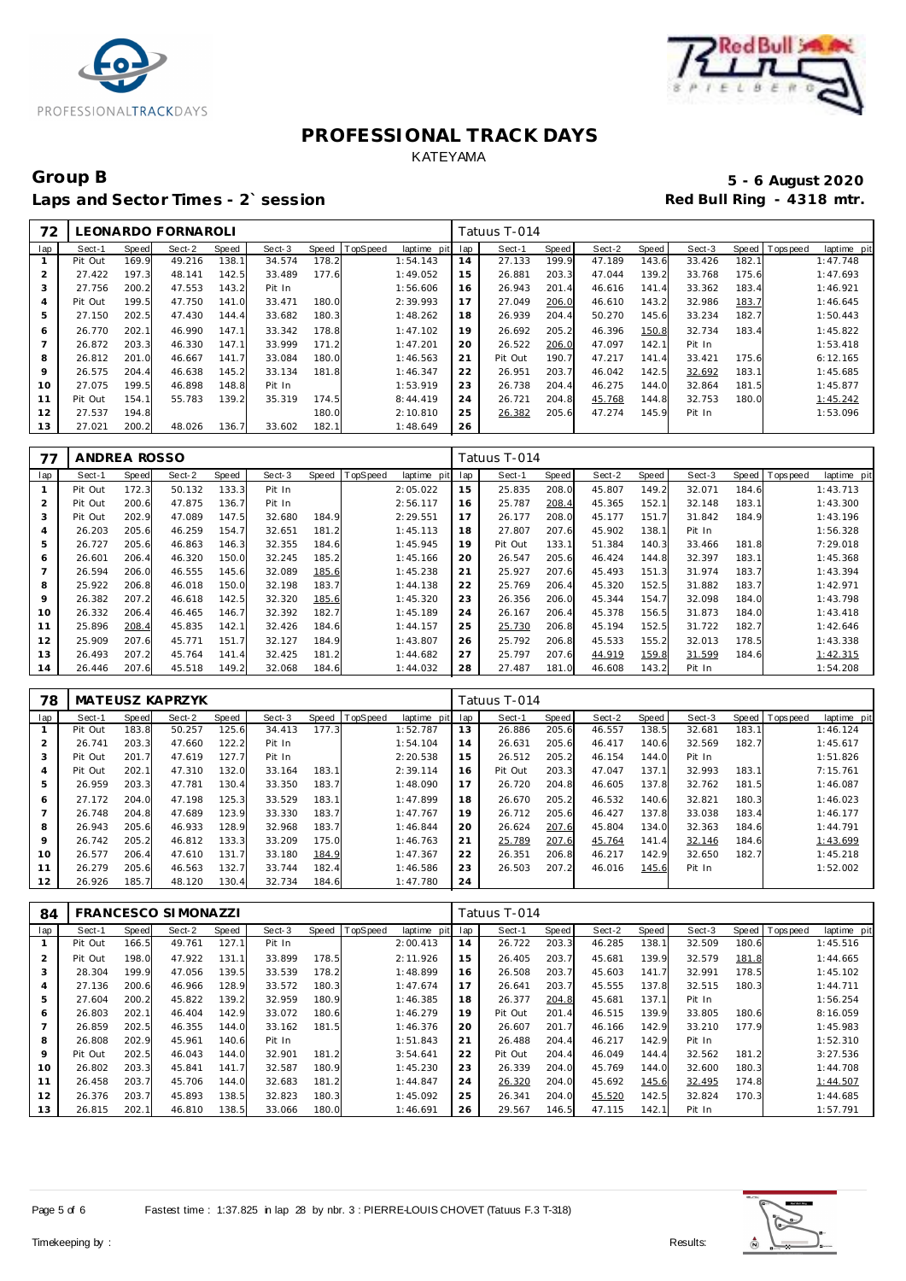



| 72      |         |       | _EONARDO FORNAROLI |       |        |       |                 |             |     | Tatuus T-014 |       |        |       |        |       |                 |             |
|---------|---------|-------|--------------------|-------|--------|-------|-----------------|-------------|-----|--------------|-------|--------|-------|--------|-------|-----------------|-------------|
| lap     | Sect-1  | Speed | Sect-2             | Speed | Sect-3 | Speed | <b>TopSpeed</b> | laptime pit | lap | Sect-1       | Speed | Sect-2 | Speed | Sect-3 |       | Speed Tops peed | laptime pit |
|         | Pit Out | 169.9 | 49.216             | 138.1 | 34.574 | 178.2 |                 | 1:54.143    | 14  | 27.133       | 199.9 | 47.189 | 143.6 | 33.426 | 182.1 |                 | 1:47.748    |
|         | 27.422  | 197.3 | 48.141             | 142.5 | 33.489 | 177.6 |                 | 1:49.052    | 15  | 26.881       | 203.3 | 47.044 | 139.2 | 33.768 | 175.6 |                 | 1:47.693    |
| 3       | 27.756  | 200.2 | 47.553             | 143.2 | Pit In |       |                 | 1:56.606    | 16  | 26.943       | 201.4 | 46.616 | 141.4 | 33.362 | 183.4 |                 | 1:46.921    |
| 4       | Pit Out | 199.5 | 47.750             | 141.0 | 33.471 | 180.0 |                 | 2:39.993    | 17  | 27.049       | 206.0 | 46.610 | 143.2 | 32.986 | 183.7 |                 | 1:46.645    |
| 5       | 27.150  | 202.5 | 47.430             | 144.4 | 33.682 | 180.3 |                 | 1:48.262    | 18  | 26.939       | 204.4 | 50.270 | 145.6 | 33.234 | 182.7 |                 | 1:50.443    |
| 6       | 26.770  | 202.1 | 46.990             | 147.1 | 33.342 | 178.8 |                 | 1:47.102    | 19  | 26.692       | 205.2 | 46.396 | 150.8 | 32.734 | 183.4 |                 | 1:45.822    |
|         | 26.872  | 203.3 | 46.330             | 147.1 | 33.999 | 171.2 |                 | 1:47.201    | 20  | 26.522       | 206.0 | 47.097 | 142.1 | Pit In |       |                 | 1:53.418    |
| 8       | 26.812  | 201.0 | 46.667             | 141.7 | 33.084 | 180.0 |                 | 1:46.563    | 21  | Pit Out      | 190.7 | 47.217 | 141.4 | 33.421 | 175.6 |                 | 6:12.165    |
| $\circ$ | 26.575  | 204.4 | 46.638             | 145.2 | 33.134 | 181.8 |                 | 1:46.347    | 22  | 26.951       | 203.7 | 46.042 | 142.5 | 32.692 | 183.1 |                 | 1:45.685    |
| 10      | 27.075  | 199.5 | 46.898             | 148.8 | Pit In |       |                 | 1:53.919    | 23  | 26.738       | 204.4 | 46.275 | 144.0 | 32.864 | 181.5 |                 | 1:45.877    |
| 11      | Pit Out | 154.1 | 55.783             | 139.2 | 35.319 | 174.5 |                 | 8:44.419    | 24  | 26.721       | 204.8 | 45.768 | 144.8 | 32.753 | 180.0 |                 | 1:45.242    |
| 12      | 27.537  | 194.8 |                    |       |        | 180.0 |                 | 2:10.810    | 25  | 26.382       | 205.6 | 47.274 | 145.9 | Pit In |       |                 | 1:53.096    |
| 13      | 27.021  | 200.2 | 48.026             | 136.7 | 33.602 | 182.1 |                 | 1:48.649    | 26  |              |       |        |       |        |       |                 |             |

| 77  | ANDREA ROSSO |       |        |       |        |       |                |             |     | Tatuus T-014 |       |        |       |        |       |                   |             |
|-----|--------------|-------|--------|-------|--------|-------|----------------|-------------|-----|--------------|-------|--------|-------|--------|-------|-------------------|-------------|
| lap | Sect-1       | Speed | Sect-2 | Speed | Sect-3 |       | Speed TopSpeed | laptime pit | lap | Sect-1       | Speed | Sect-2 | Speed | Sect-3 |       | Speed   Tops peed | laptime pit |
|     | Pit Out      | 172.3 | 50.132 | 133.3 | Pit In |       |                | 2:05.022    | 15  | 25.835       | 208.0 | 45.807 | 149.2 | 32.071 | 184.6 |                   | 1:43.713    |
| 2   | Pit Out      | 200.6 | 47.875 | 136.7 | Pit In |       |                | 2:56.117    | 16  | 25.787       | 208.4 | 45.365 | 152.1 | 32.148 | 183.1 |                   | 1:43.300    |
| 3   | Pit Out      | 202.9 | 47.089 | 147.5 | 32.680 | 184.9 |                | 2:29.551    | 17  | 26.177       | 208.0 | 45.177 | 151.7 | 31.842 | 184.9 |                   | 1:43.196    |
| 4   | 26.203       | 205.6 | 46.259 | 154.7 | 32.651 | 181.2 |                | 1:45.113    | 18  | 27.807       | 207.6 | 45.902 | 138.1 | Pit In |       |                   | 1:56.328    |
| 5   | 26.727       | 205.6 | 46.863 | 146.3 | 32.355 | 184.6 |                | 1:45.945    | 19  | Pit Out      | 133.1 | 51.384 | 140.3 | 33.466 | 181.8 |                   | 7:29.018    |
| 6   | 26.601       | 206.4 | 46.320 | 150.0 | 32.245 | 185.2 |                | 1:45.166    | 20  | 26.547       | 205.6 | 46.424 | 144.8 | 32.397 | 183.1 |                   | 1:45.368    |
|     | 26.594       | 206.0 | 46.555 | 145.6 | 32.089 | 185.6 |                | 1:45.238    | 21  | 25.927       | 207.6 | 45.493 | 151.3 | 31.974 | 183.7 |                   | 1:43.394    |
| 8   | 25.922       | 206.8 | 46.018 | 150.0 | 32.198 | 183.7 |                | 1:44.138    | 22  | 25.769       | 206.4 | 45.320 | 152.5 | 31.882 | 183.7 |                   | 1:42.971    |
| 9   | 26.382       | 207.2 | 46.618 | 142.5 | 32.320 | 185.6 |                | 1:45.320    | 23  | 26.356       | 206.0 | 45.344 | 154.7 | 32.098 | 184.0 |                   | 1:43.798    |
| 10  | 26.332       | 206.4 | 46.465 | 146.7 | 32.392 | 182.7 |                | 1:45.189    | 24  | 26.167       | 206.4 | 45.378 | 156.5 | 31.873 | 184.0 |                   | 1:43.418    |
| 11  | 25.896       | 208.4 | 45.835 | 142.1 | 32.426 | 184.6 |                | 1:44.157    | 25  | 25.730       | 206.8 | 45.194 | 152.5 | 31.722 | 182.7 |                   | 1:42.646    |
| 12  | 25.909       | 207.6 | 45.771 | 151.7 | 32.127 | 184.9 |                | 1:43.807    | 26  | 25.792       | 206.8 | 45.533 | 155.2 | 32.013 | 178.5 |                   | 1:43.338    |
| 13  | 26.493       | 207.2 | 45.764 | 141.4 | 32.425 | 181.2 |                | 1:44.682    | 27  | 25.797       | 207.6 | 44.919 | 159.8 | 31.599 | 184.6 |                   | 1:42.315    |
| 14  | 26.446       | 207.6 | 45.518 | 149.2 | 32.068 | 184.6 |                | 1:44.032    | 28  | 27.487       | 181.0 | 46.608 | 143.2 | Pit In |       |                   | 1:54.208    |

| 78      |         |       | MATEUSZ KAPRZYK |       |        |       |          |             |     | Tatuus T-014 |       |        |       |        |       |                |             |
|---------|---------|-------|-----------------|-------|--------|-------|----------|-------------|-----|--------------|-------|--------|-------|--------|-------|----------------|-------------|
| lap     | Sect-1  | Speed | Sect-2          | Speed | Sect-3 | Speed | TopSpeed | laptime pit | lap | Sect-1       | Speed | Sect-2 | Speed | Sect-3 |       | Speed Topspeed | laptime pit |
|         | Pit Out | 183.8 | 50.257          | 125.6 | 34.413 | 177.3 |          | 1:52.787    | 13  | 26.886       | 205.6 | 46.557 | 138.5 | 32.681 | 183.1 |                | 1:46.124    |
|         | 26.741  | 203.3 | 47.660          | 122.2 | Pit In |       |          | 1:54.104    | 14  | 26.631       | 205.6 | 46.417 | 140.6 | 32.569 | 182.7 |                | 1:45.617    |
| 3       | Pit Out | 201.7 | 47.619          | 127.7 | Pit In |       |          | 2:20.538    | 15  | 26.512       | 205.2 | 46.154 | 144.0 | Pit In |       |                | 1:51.826    |
| 4       | Pit Out | 202.1 | 47.310          | 132.0 | 33.164 | 183.1 |          | 2:39.114    | 16  | Pit Out      | 203.3 | 47.047 | 137.1 | 32.993 | 183.1 |                | 7:15.761    |
| 5       | 26.959  | 203.3 | 47.781          | 130.4 | 33.350 | 183.7 |          | 1:48.090    | 17  | 26.720       | 204.8 | 46.605 | 137.8 | 32.762 | 181.5 |                | 1:46.087    |
| 6       | 27.172  | 204.0 | 47.198          | 125.3 | 33.529 | 183.1 |          | 1:47.899    | 18  | 26.670       | 205.2 | 46.532 | 140.6 | 32.821 | 180.3 |                | 1:46.023    |
|         | 26.748  | 204.8 | 47.689          | 123.9 | 33.330 | 183.7 |          | 1:47.767    | 19  | 26.712       | 205.6 | 46.427 | 137.8 | 33.038 | 183.4 |                | 1:46.177    |
| 8       | 26.943  | 205.6 | 46.933          | 128.9 | 32.968 | 183.7 |          | 1:46.844    | 20  | 26.624       | 207.6 | 45.804 | 134.0 | 32.363 | 184.6 |                | 1:44.791    |
| $\circ$ | 26.742  | 205.2 | 46.812          | 133.3 | 33.209 | 175.0 |          | 1:46.763    | 21  | 25.789       | 207.6 | 45.764 | 141.4 | 32.146 | 184.6 |                | 1:43.699    |
| 10      | 26.577  | 206.4 | 47.610          | 131.7 | 33.180 | 184.9 |          | 1:47.367    | 22  | 26.351       | 206.8 | 46.217 | 142.9 | 32.650 | 182.7 |                | 1:45.218    |
| 11      | 26.279  | 205.6 | 46.563          | 132.7 | 33.744 | 182.4 |          | 1:46.586    | 23  | 26.503       | 207.2 | 46.016 | 145.6 | Pit In |       |                | 1:52.002    |
| 12      | 26.926  | 185.7 | 48.120          | 130.4 | 32.734 | 184.6 |          | 1:47.780    | 24  |              |       |        |       |        |       |                |             |

| 84  |         |       | <b>FRANCESCO SIMONAZZI</b> |       |        |       |          |                |     | Tatuus T-014 |       |        |       |        |       |            |             |
|-----|---------|-------|----------------------------|-------|--------|-------|----------|----------------|-----|--------------|-------|--------|-------|--------|-------|------------|-------------|
| lap | Sect-1  | Speed | Sect-2                     | Speed | Sect-3 | Speed | TopSpeed | laptime<br>pit | lap | Sect-1       | Speed | Sect-2 | Speed | Sect-3 | Speed | T ops peed | laptime pit |
|     | Pit Out | 166.5 | 49.761                     | 127.1 | Pit In |       |          | 2:00.413       | 14  | 26.722       | 203.3 | 46.285 | 138.1 | 32.509 | 180.6 |            | 1:45.516    |
| 2   | Pit Out | 198.0 | 47.922                     | 131.1 | 33.899 | 178.5 |          | 2:11.926       | 15  | 26.405       | 203.7 | 45.681 | 139.9 | 32.579 | 181.8 |            | 1:44.665    |
| 3   | 28.304  | 199.9 | 47.056                     | 139.5 | 33.539 | 178.2 |          | 1:48.899       | 16  | 26.508       | 203.7 | 45.603 | 141.7 | 32.991 | 178.5 |            | 1:45.102    |
|     | 27.136  | 200.6 | 46.966                     | 128.9 | 33.572 | 180.3 |          | 1:47.674       | 17  | 26.641       | 203.7 | 45.555 | 137.8 | 32.515 | 180.3 |            | 1:44.711    |
| 5   | 27.604  | 200.2 | 45.822                     | 139.2 | 32.959 | 180.9 |          | 1:46.385       | 18  | 26.377       | 204.8 | 45.681 | 137.1 | Pit In |       |            | 1:56.254    |
| 6   | 26.803  | 202.1 | 46.404                     | 142.9 | 33.072 | 180.6 |          | 1:46.279       | 19  | Pit Out      | 201.4 | 46.515 | 139.9 | 33.805 | 180.6 |            | 8:16.059    |
|     | 26.859  | 202.5 | 46.355                     | 144.0 | 33.162 | 181.5 |          | 1:46.376       | 20  | 26.607       | 201.7 | 46.166 | 142.9 | 33.210 | 177.9 |            | 1:45.983    |
| 8   | 26.808  | 202.9 | 45.961                     | 140.6 | Pit In |       |          | 1:51.843       | 21  | 26.488       | 204.4 | 46.217 | 142.9 | Pit In |       |            | 1:52.310    |
| 9   | Pit Out | 202.5 | 46.043                     | 144.0 | 32.901 | 181.2 |          | 3:54.641       | 22  | Pit Out      | 204.4 | 46.049 | 144.4 | 32.562 | 181.2 |            | 3:27.536    |
| 10  | 26.802  | 203.3 | 45.841                     | 141.7 | 32.587 | 180.9 |          | 1:45.230       | 23  | 26.339       | 204.0 | 45.769 | 144.0 | 32.600 | 180.3 |            | 1:44.708    |
| 11  | 26.458  | 203.7 | 45.706                     | 144.0 | 32.683 | 181.2 |          | 1:44.847       | 24  | 26.320       | 204.0 | 45.692 | 145.6 | 32.495 | 174.8 |            | 1:44.507    |
| 12  | 26.376  | 203.7 | 45.893                     | 138.5 | 32.823 | 180.3 |          | 1:45.092       | 25  | 26.341       | 204.0 | 45.520 | 142.5 | 32.824 | 170.3 |            | 1:44.685    |
| 13  | 26.815  | 202.1 | 46.810                     | 138.5 | 33.066 | 180.0 |          | 1:46.691       | 26  | 29.567       | 146.5 | 47.115 | 142.1 | Pit In |       |            | 1:57.791    |